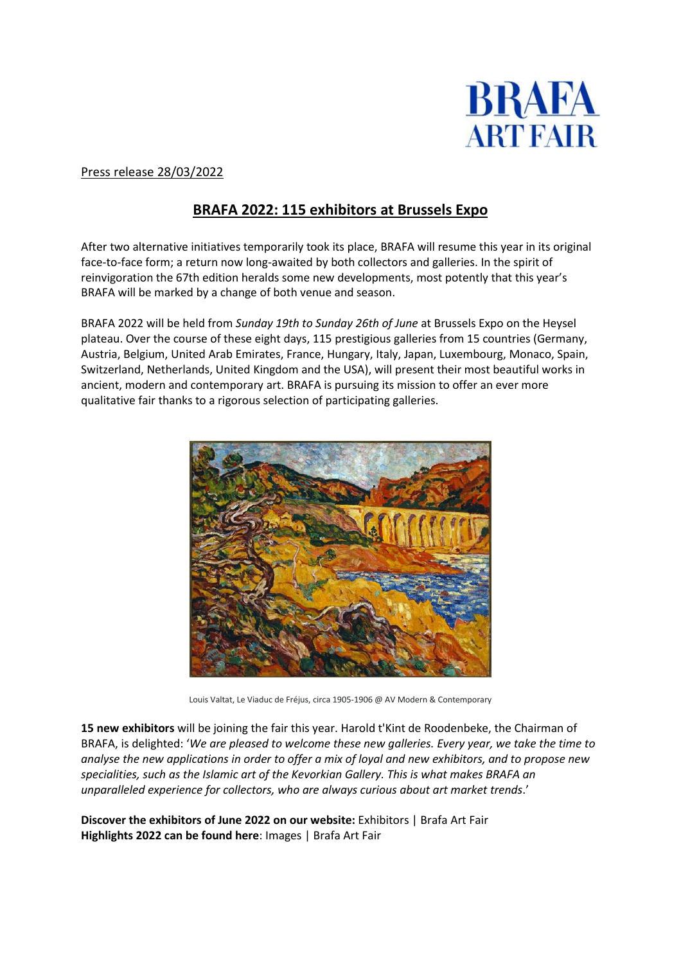

## Press release 28/03/2022

# **BRAFA 2022: 115 exhibitors at Brussels Expo**

After two alternative initiatives temporarily took its place, BRAFA will resume this year in its original face-to-face form; a return now long-awaited by both collectors and galleries. In the spirit of reinvigoration the 67th edition heralds some new developments, most potently that this year's BRAFA will be marked by a change of both venue and season.

BRAFA 2022 will be held from *Sunday 19th to Sunday 26th of June* at Brussels Expo on the Heysel plateau. Over the course of these eight days, 115 prestigious galleries from 15 countries (Germany, Austria, Belgium, United Arab Emirates, France, Hungary, Italy, Japan, Luxembourg, Monaco, Spain, Switzerland, Netherlands, United Kingdom and the USA), will present their most beautiful works in ancient, modern and contemporary art. BRAFA is pursuing its mission to offer an ever more qualitative fair thanks to a rigorous selection of participating galleries.



Louis Valtat, Le Viaduc de Fréjus, circa 1905-1906 @ AV Modern & Contemporary

**15 new exhibitors** will be joining the fair this year. Harold t'Kint de Roodenbeke, the Chairman of BRAFA, is delighted: '*We are pleased to welcome these new galleries. Every year, we take the time to* analyse the new applications in order to offer a mix of loyal and new exhibitors, and to propose new *specialities, such as the Islamic art of the Kevorkian Gallery. This is what makes BRAFA an unparalleled experience for collectors, who are always curious about art market trends*.'

**Discover the exhibitors of June 2022 on our website:** [Exhibitors](https://www.brafa.art/en/exhibitors) | Brafa Art Fair **Highlights 2022 can be found here**: [Images](https://www.brafa.art/en/pictures-gallery) | Brafa Art Fair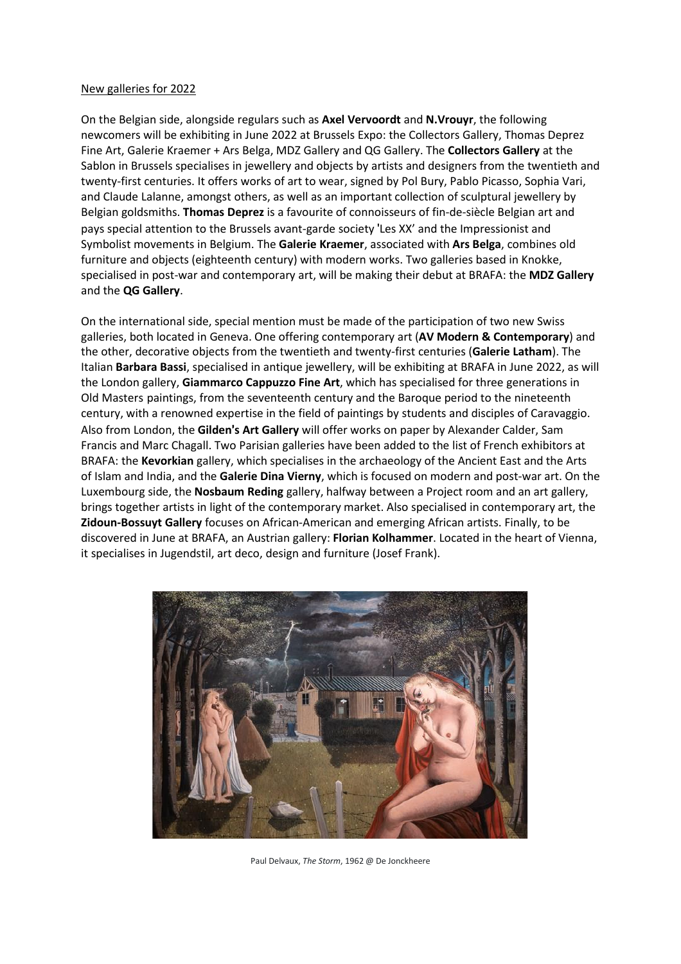## New galleries for 2022

On the Belgian side, alongside regulars such as **Axel Vervoordt** and **N.Vrouyr**, the following newcomers will be exhibiting in June 2022 at Brussels Expo: the Collectors Gallery, Thomas Deprez Fine Art, Galerie Kraemer + Ars Belga, MDZ Gallery and QG Gallery. The **Collectors Gallery** at the Sablon in Brussels specialises in jewellery and objects by artists and designers from the twentieth and twenty-first centuries. It offers works of art to wear, signed by Pol Bury, Pablo Picasso, Sophia Vari, and Claude Lalanne, amongst others, as well as an important collection of sculptural jewellery by Belgian goldsmiths. **Thomas Deprez** is a favourite of connoisseurs of fin-de-siècle Belgian art and pays special attention to the Brussels avant-garde society 'Les XX' and the Impressionist and Symbolist movements in Belgium. The **Galerie Kraemer**, associated with **Ars Belga**, combines old furniture and objects (eighteenth century) with modern works. Two galleries based in Knokke, specialised in post-war and contemporary art, will be making their debut at BRAFA: the **MDZ Gallery** and the **QG Gallery**.

On the international side, special mention must be made of the participation of two new Swiss galleries, both located in Geneva. One offering contemporary art (**AV Modern & Contemporary**) and the other, decorative objects from the twentieth and twenty-first centuries (**Galerie Latham**). The Italian **Barbara Bassi**, specialised in antique jewellery, will be exhibiting at BRAFA in June 2022, as will the London gallery, **Giammarco Cappuzzo Fine Art**, which has specialised for three generations in Old Masters paintings, from the seventeenth century and the Baroque period to the nineteenth century, with a renowned expertise in the field of paintings by students and disciples of Caravaggio. Also from London, the **Gilden**'**s Art Gallery** will offer works on paper by Alexander Calder, Sam Francis and Marc Chagall. Two Parisian galleries have been added to the list of French exhibitors at BRAFA: the **Kevorkian** gallery, which specialises in the archaeology of the Ancient East and the Arts of Islam and India, and the **Galerie Dina Vierny**, which is focused on modern and post-war art. On the Luxembourg side, the **Nosbaum Reding** gallery, halfway between a Project room and an art gallery, brings together artists in light of the contemporary market. Also specialised in contemporary art, the **Zidoun-Bossuyt Gallery** focuses on African-American and emerging African artists. Finally, to be discovered in June at BRAFA, an Austrian gallery: **Florian Kolhammer**. Located in the heart of Vienna, it specialises in Jugendstil, art deco, design and furniture (Josef Frank).



Paul Delvaux, *The Storm*, 1962 @ De Jonckheere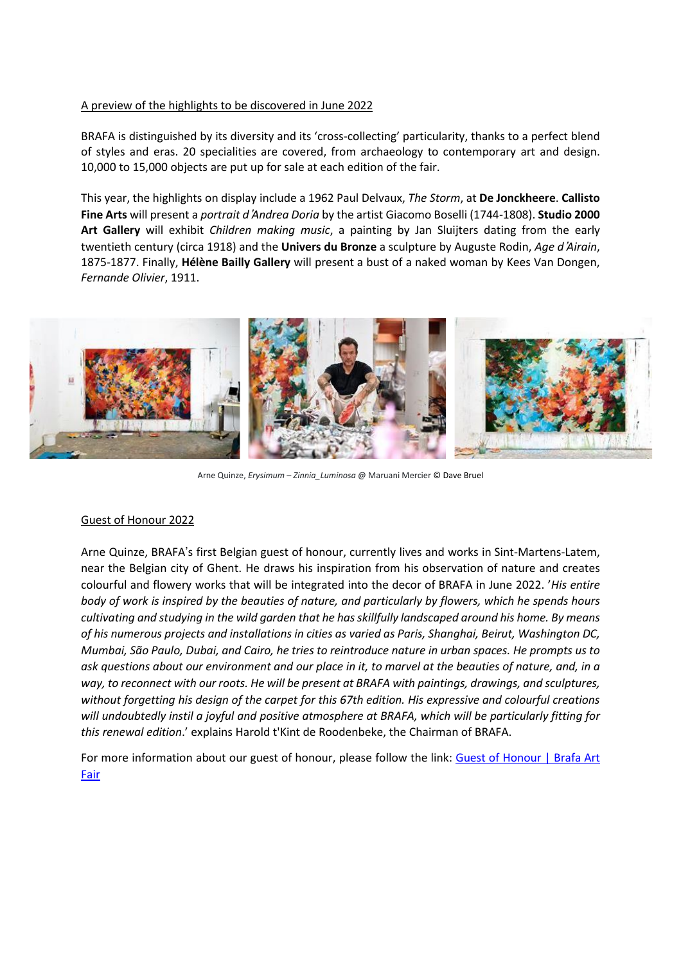## A preview of the highlights to be discovered in June 2022

BRAFA is distinguished by its diversity and its 'cross-collecting' particularity, thanks to a perfect blend of styles and eras. 20 specialities are covered, from archaeology to contemporary art and design. 10,000 to 15,000 objects are put up for sale at each edition of the fair.

This year, the highlights on display include a 1962 Paul Delvaux, *The Storm*, at **De Jonckheere**. **Callisto Fine Arts** will present a *portrait d*'*Andrea Doria* by the artist Giacomo Boselli (1744-1808). **Studio 2000 Art Gallery** will exhibit *Children making music*, a painting by Jan Sluijters dating from the early twentieth century (circa 1918) and the **Univers du Bronze** a sculpture by Auguste Rodin, *Age d*'*Airain*, 1875-1877. Finally, **Hélène Bailly Gallery** will present a bust of a naked woman by Kees Van Dongen, *Fernande Olivier*, 1911.



Arne Quinze, *Erysimum* – *Zinnia\_Luminosa* @ Maruani Mercier © Dave Bruel

#### Guest of Honour 2022

Arne Quinze, BRAFA's first Belgian guest of honour, currently lives and works in Sint-Martens-Latem, near the Belgian city of Ghent. He draws his inspiration from his observation of nature and creates colourful and flowery works that will be integrated into the decor of BRAFA in June 2022. '*His entire* body of work is inspired by the beauties of nature, and particularly by flowers, which he spends hours *cultivating and studying in the wild garden that he hasskillfully landscaped around his home. By means of his numerous projects and installations in cities as varied as Paris, Shanghai, Beirut, Washington DC,* Mumbai, São Paulo, Dubai, and Cairo, he tries to reintroduce nature in urban spaces. He prompts us to ask questions about our environment and our place in it, to marvel at the beauties of nature, and, in a *way, to reconnect with our roots. He will be present at BRAFA with paintings, drawings, and sculptures, without forgetting his design of the carpet for this 67th edition. His expressive and colourful creations will undoubtedly instil a joyful and positive atmosphere at BRAFA, which will be particularly fitting for this renewal edition*.' explains Harold t'Kint de Roodenbeke, the Chairman of BRAFA.

For more information about our guest of honour, please follow the link: Guest of [Honour](https://www.brafa.art/en/guest-of-honour) | Brafa Art [Fair](https://www.brafa.art/en/guest-of-honour)